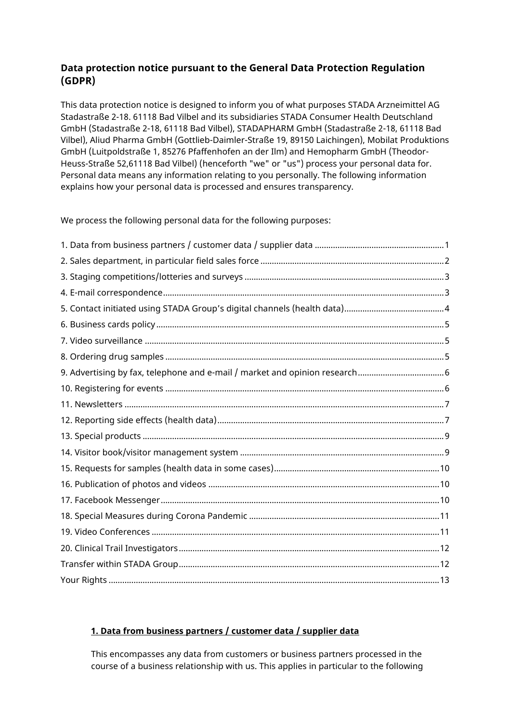# **Data protection notice pursuant to the General Data Protection Regulation (GDPR)**

This data protection notice is designed to inform you of what purposes STADA Arzneimittel AG Stadastraße 2-18. 61118 Bad Vilbel and its subsidiaries STADA Consumer Health Deutschland GmbH (Stadastraße 2-18, 61118 Bad Vilbel), STADAPHARM GmbH (Stadastraße 2-18, 61118 Bad Vilbel), Aliud Pharma GmbH (Gottlieb-Daimler-Straße 19, 89150 Laichingen), Mobilat Produktions GmbH (Luitpoldstraße 1, 85276 Pfaffenhofen an der Ilm) and Hemopharm GmbH (Theodor-Heuss-Straße 52,61118 Bad Vilbel) (henceforth "we" or "us") process your personal data for. Personal data means any information relating to you personally. The following information explains how your personal data is processed and ensures transparency.

We process the following personal data for the following purposes:

## <span id="page-0-0"></span>**1. Data from business partners / customer data / supplier data**

This encompasses any data from customers or business partners processed in the course of a business relationship with us. This applies in particular to the following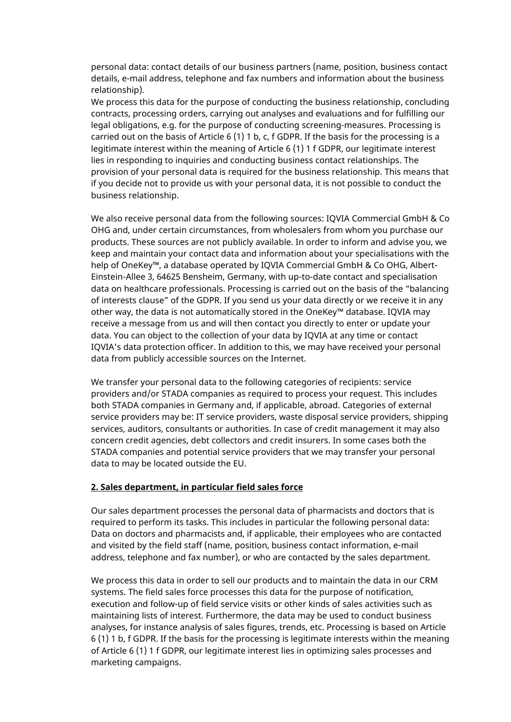personal data: contact details of our business partners (name, position, business contact details, e-mail address, telephone and fax numbers and information about the business relationship).

We process this data for the purpose of conducting the business relationship, concluding contracts, processing orders, carrying out analyses and evaluations and for fulfilling our legal obligations, e.g. for the purpose of conducting screening-measures. Processing is carried out on the basis of Article 6 (1) 1 b, c, f GDPR. If the basis for the processing is a legitimate interest within the meaning of Article 6 (1) 1 f GDPR, our legitimate interest lies in responding to inquiries and conducting business contact relationships. The provision of your personal data is required for the business relationship. This means that if you decide not to provide us with your personal data, it is not possible to conduct the business relationship.

We also receive personal data from the following sources: IQVIA Commercial GmbH & Co OHG and, under certain circumstances, from wholesalers from whom you purchase our products. These sources are not publicly available. In order to inform and advise you, we keep and maintain your contact data and information about your specialisations with the help of OneKey™, a database operated by IQVIA Commercial GmbH & Co OHG, Albert-Einstein-Allee 3, 64625 Bensheim, Germany, with up-to-date contact and specialisation data on healthcare professionals. Processing is carried out on the basis of the "balancing of interests clause" of the GDPR. If you send us your data directly or we receive it in any other way, the data is not automatically stored in the OneKey™ database. IQVIA may receive a message from us and will then contact you directly to enter or update your data. You can object to the collection of your data by IQVIA at any time or contact IQVIA's data protection officer. In addition to this, we may have received your personal data from publicly accessible sources on the Internet.

We transfer your personal data to the following categories of recipients: service providers and/or STADA companies as required to process your request. This includes both STADA companies in Germany and, if applicable, abroad. Categories of external service providers may be: IT service providers, waste disposal service providers, shipping services, auditors, consultants or authorities. In case of credit management it may also concern credit agencies, debt collectors and credit insurers. In some cases both the STADA companies and potential service providers that we may transfer your personal data to may be located outside the EU.

#### <span id="page-1-0"></span>**2. Sales department, in particular field sales force**

Our sales department processes the personal data of pharmacists and doctors that is required to perform its tasks. This includes in particular the following personal data: Data on doctors and pharmacists and, if applicable, their employees who are contacted and visited by the field staff (name, position, business contact information, e-mail address, telephone and fax number), or who are contacted by the sales department.

We process this data in order to sell our products and to maintain the data in our CRM systems. The field sales force processes this data for the purpose of notification, execution and follow-up of field service visits or other kinds of sales activities such as maintaining lists of interest. Furthermore, the data may be used to conduct business analyses, for instance analysis of sales figures, trends, etc. Processing is based on Article 6 (1) 1 b, f GDPR. If the basis for the processing is legitimate interests within the meaning of Article 6 (1) 1 f GDPR, our legitimate interest lies in optimizing sales processes and marketing campaigns.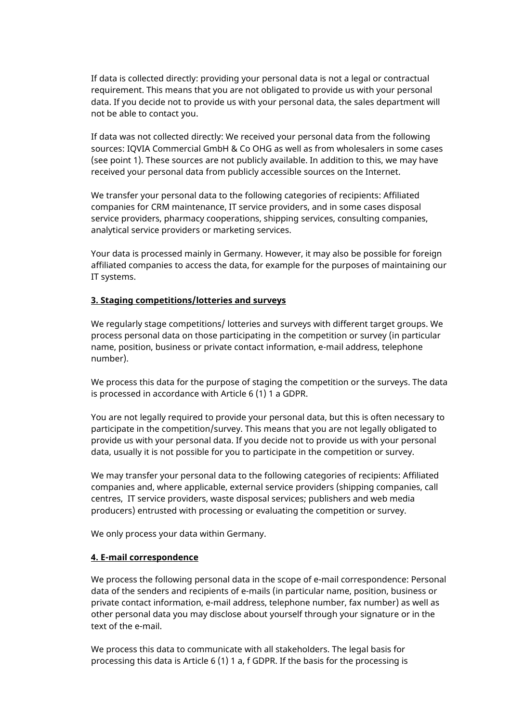If data is collected directly: providing your personal data is not a legal or contractual requirement. This means that you are not obligated to provide us with your personal data. If you decide not to provide us with your personal data, the sales department will not be able to contact you.

If data was not collected directly: We received your personal data from the following sources: IQVIA Commercial GmbH & Co OHG as well as from wholesalers in some cases (see point 1). These sources are not publicly available. In addition to this, we may have received your personal data from publicly accessible sources on the Internet.

We transfer your personal data to the following categories of recipients: Affiliated companies for CRM maintenance, IT service providers, and in some cases disposal service providers, pharmacy cooperations, shipping services, consulting companies, analytical service providers or marketing services.

Your data is processed mainly in Germany. However, it may also be possible for foreign affiliated companies to access the data, for example for the purposes of maintaining our IT systems.

#### <span id="page-2-0"></span>**3. Staging competitions/lotteries and surveys**

We regularly stage competitions/ lotteries and surveys with different target groups. We process personal data on those participating in the competition or survey (in particular name, position, business or private contact information, e-mail address, telephone number).

We process this data for the purpose of staging the competition or the surveys. The data is processed in accordance with Article 6 (1) 1 a GDPR.

You are not legally required to provide your personal data, but this is often necessary to participate in the competition/survey. This means that you are not legally obligated to provide us with your personal data. If you decide not to provide us with your personal data, usually it is not possible for you to participate in the competition or survey.

We may transfer your personal data to the following categories of recipients: Affiliated companies and, where applicable, external service providers (shipping companies, call centres, IT service providers, waste disposal services; publishers and web media producers) entrusted with processing or evaluating the competition or survey.

We only process your data within Germany.

#### <span id="page-2-1"></span>**4. E-mail correspondence**

We process the following personal data in the scope of e-mail correspondence: Personal data of the senders and recipients of e-mails (in particular name, position, business or private contact information, e-mail address, telephone number, fax number) as well as other personal data you may disclose about yourself through your signature or in the text of the e-mail.

We process this data to communicate with all stakeholders. The legal basis for processing this data is Article 6 (1) 1 a, f GDPR. If the basis for the processing is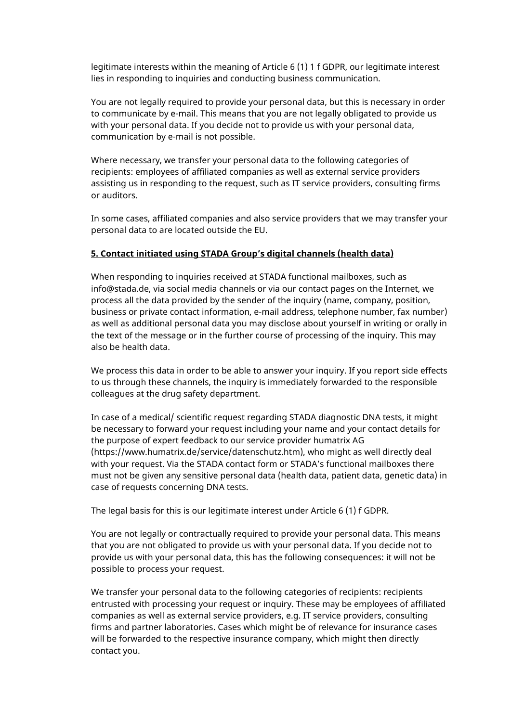legitimate interests within the meaning of Article 6 (1) 1 f GDPR, our legitimate interest lies in responding to inquiries and conducting business communication.

You are not legally required to provide your personal data, but this is necessary in order to communicate by e-mail. This means that you are not legally obligated to provide us with your personal data. If you decide not to provide us with your personal data, communication by e-mail is not possible.

Where necessary, we transfer your personal data to the following categories of recipients: employees of affiliated companies as well as external service providers assisting us in responding to the request, such as IT service providers, consulting firms or auditors.

In some cases, affiliated companies and also service providers that we may transfer your personal data to are located outside the EU.

#### <span id="page-3-0"></span>**5. Contact initiated using STADA Group's digital channels (health data)**

When responding to inquiries received at STADA functional mailboxes, such as info@stada.de, via social media channels or via our contact pages on the Internet, we process all the data provided by the sender of the inquiry (name, company, position, business or private contact information, e-mail address, telephone number, fax number) as well as additional personal data you may disclose about yourself in writing or orally in the text of the message or in the further course of processing of the inquiry. This may also be health data.

We process this data in order to be able to answer your inquiry. If you report side effects to us through these channels, the inquiry is immediately forwarded to the responsible colleagues at the drug safety department.

In case of a medical/ scientific request regarding STADA diagnostic DNA tests, it might be necessary to forward your request including your name and your contact details for the purpose of expert feedback to our service provider humatrix AG (https://www.humatrix.de/service/datenschutz.htm), who might as well directly deal with your request. Via the STADA contact form or STADA's functional mailboxes there must not be given any sensitive personal data (health data, patient data, genetic data) in case of requests concerning DNA tests.

The legal basis for this is our legitimate interest under Article 6 (1) f GDPR.

You are not legally or contractually required to provide your personal data. This means that you are not obligated to provide us with your personal data. If you decide not to provide us with your personal data, this has the following consequences: it will not be possible to process your request.

We transfer your personal data to the following categories of recipients: recipients entrusted with processing your request or inquiry. These may be employees of affiliated companies as well as external service providers, e.g. IT service providers, consulting firms and partner laboratories. Cases which might be of relevance for insurance cases will be forwarded to the respective insurance company, which might then directly contact you.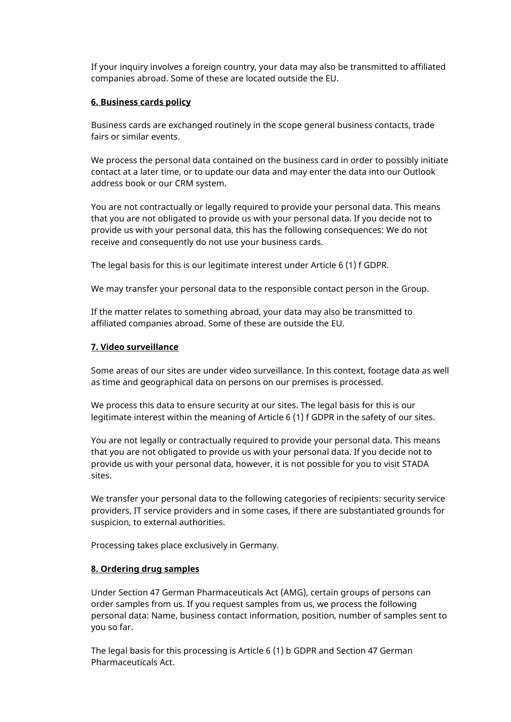If your inquiry involves a foreign country, your data may also be transmitted to affiliated companies abroad. Some of these are located outside the EU.

#### <span id="page-4-0"></span>**6. Business cards policy**

Business cards are exchanged routinely in the scope general business contacts, trade fairs or similar events.

We process the personal data contained on the business card in order to possibly initiate contact at a later time, or to update our data and may enter the data into our Outlook address book or our CRM system.

You are not contractually or legally required to provide your personal data. This means that you are not obligated to provide us with your personal data. If you decide not to provide us with your personal data, this has the following consequences: We do not receive and consequently do not use your business cards.

The legal basis for this is our legitimate interest under Article 6 (1) f GDPR.

We may transfer your personal data to the responsible contact person in the Group.

If the matter relates to something abroad, your data may also be transmitted to affiliated companies abroad. Some of these are outside the EU.

#### <span id="page-4-1"></span>**7. Video surveillance**

Some areas of our sites are under video surveillance. In this context, footage data as well as time and geographical data on persons on our premises is processed.

We process this data to ensure security at our sites. The legal basis for this is our legitimate interest within the meaning of Article 6 (1) f GDPR in the safety of our sites.

You are not legally or contractually required to provide your personal data. This means that you are not obligated to provide us with your personal data. If you decide not to provide us with your personal data, however, it is not possible for you to visit STADA sites.

We transfer your personal data to the following categories of recipients: security service providers, IT service providers and in some cases, if there are substantiated grounds for suspicion, to external authorities.

Processing takes place exclusively in Germany.

#### <span id="page-4-2"></span>**8. Ordering drug samples**

Under Section 47 German Pharmaceuticals Act (AMG), certain groups of persons can order samples from us. If you request samples from us, we process the following personal data: Name, business contact information, position, number of samples sent to you so far.

The legal basis for this processing is Article 6 (1) b GDPR and Section 47 German Pharmaceuticals Act.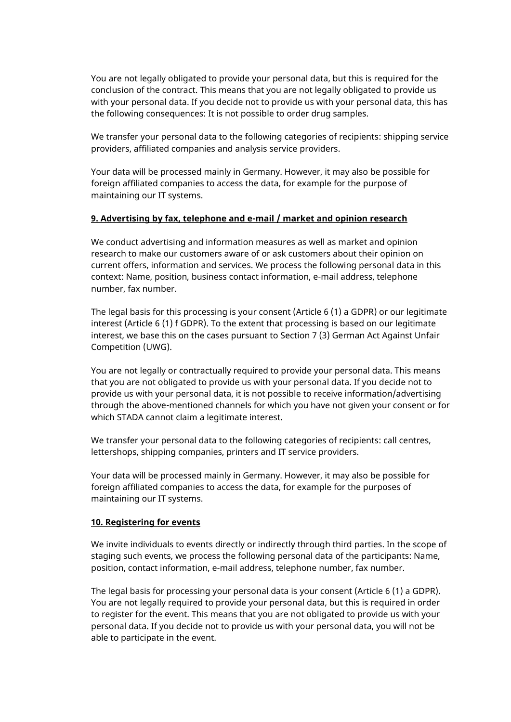You are not legally obligated to provide your personal data, but this is required for the conclusion of the contract. This means that you are not legally obligated to provide us with your personal data. If you decide not to provide us with your personal data, this has the following consequences: It is not possible to order drug samples.

We transfer your personal data to the following categories of recipients: shipping service providers, affiliated companies and analysis service providers.

Your data will be processed mainly in Germany. However, it may also be possible for foreign affiliated companies to access the data, for example for the purpose of maintaining our IT systems.

#### <span id="page-5-0"></span>**9. Advertising by fax, telephone and e-mail / market and opinion research**

We conduct advertising and information measures as well as market and opinion research to make our customers aware of or ask customers about their opinion on current offers, information and services. We process the following personal data in this context: Name, position, business contact information, e-mail address, telephone number, fax number.

The legal basis for this processing is your consent (Article 6 (1) a GDPR) or our legitimate interest (Article 6 (1) f GDPR). To the extent that processing is based on our legitimate interest, we base this on the cases pursuant to Section 7 (3) German Act Against Unfair Competition (UWG).

You are not legally or contractually required to provide your personal data. This means that you are not obligated to provide us with your personal data. If you decide not to provide us with your personal data, it is not possible to receive information/advertising through the above-mentioned channels for which you have not given your consent or for which STADA cannot claim a legitimate interest.

We transfer your personal data to the following categories of recipients: call centres, lettershops, shipping companies, printers and IT service providers.

Your data will be processed mainly in Germany. However, it may also be possible for foreign affiliated companies to access the data, for example for the purposes of maintaining our IT systems.

#### <span id="page-5-1"></span>**10. Registering for events**

We invite individuals to events directly or indirectly through third parties. In the scope of staging such events, we process the following personal data of the participants: Name, position, contact information, e-mail address, telephone number, fax number.

The legal basis for processing your personal data is your consent (Article 6 (1) a GDPR). You are not legally required to provide your personal data, but this is required in order to register for the event. This means that you are not obligated to provide us with your personal data. If you decide not to provide us with your personal data, you will not be able to participate in the event.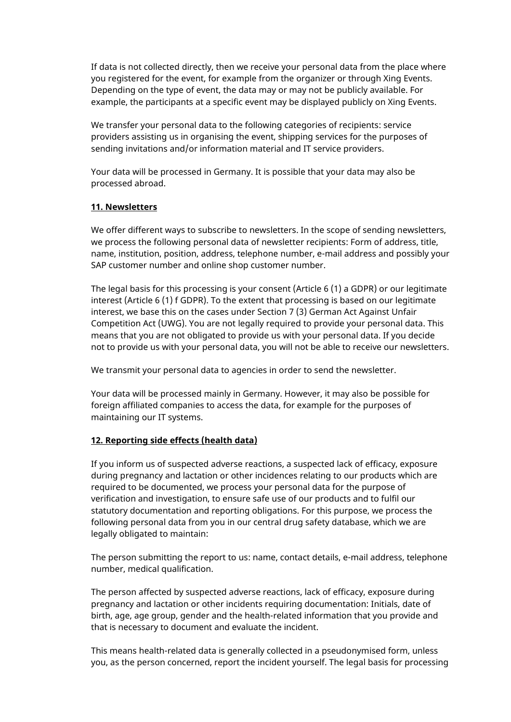If data is not collected directly, then we receive your personal data from the place where you registered for the event, for example from the organizer or through Xing Events. Depending on the type of event, the data may or may not be publicly available. For example, the participants at a specific event may be displayed publicly on Xing Events.

We transfer your personal data to the following categories of recipients: service providers assisting us in organising the event, shipping services for the purposes of sending invitations and/or information material and IT service providers.

Your data will be processed in Germany. It is possible that your data may also be processed abroad.

### <span id="page-6-0"></span>**11. Newsletters**

We offer different ways to subscribe to newsletters. In the scope of sending newsletters, we process the following personal data of newsletter recipients: Form of address, title, name, institution, position, address, telephone number, e-mail address and possibly your SAP customer number and online shop customer number.

The legal basis for this processing is your consent (Article 6 (1) a GDPR) or our legitimate interest (Article 6 (1) f GDPR). To the extent that processing is based on our legitimate interest, we base this on the cases under Section 7 (3) German Act Against Unfair Competition Act (UWG). You are not legally required to provide your personal data. This means that you are not obligated to provide us with your personal data. If you decide not to provide us with your personal data, you will not be able to receive our newsletters.

We transmit your personal data to agencies in order to send the newsletter.

Your data will be processed mainly in Germany. However, it may also be possible for foreign affiliated companies to access the data, for example for the purposes of maintaining our IT systems.

### <span id="page-6-1"></span>**12. Reporting side effects (health data)**

If you inform us of suspected adverse reactions, a suspected lack of efficacy, exposure during pregnancy and lactation or other incidences relating to our products which are required to be documented, we process your personal data for the purpose of verification and investigation, to ensure safe use of our products and to fulfil our statutory documentation and reporting obligations. For this purpose, we process the following personal data from you in our central drug safety database, which we are legally obligated to maintain:

The person submitting the report to us: name, contact details, e-mail address, telephone number, medical qualification.

The person affected by suspected adverse reactions, lack of efficacy, exposure during pregnancy and lactation or other incidents requiring documentation: Initials, date of birth, age, age group, gender and the health-related information that you provide and that is necessary to document and evaluate the incident.

This means health-related data is generally collected in a pseudonymised form, unless you, as the person concerned, report the incident yourself. The legal basis for processing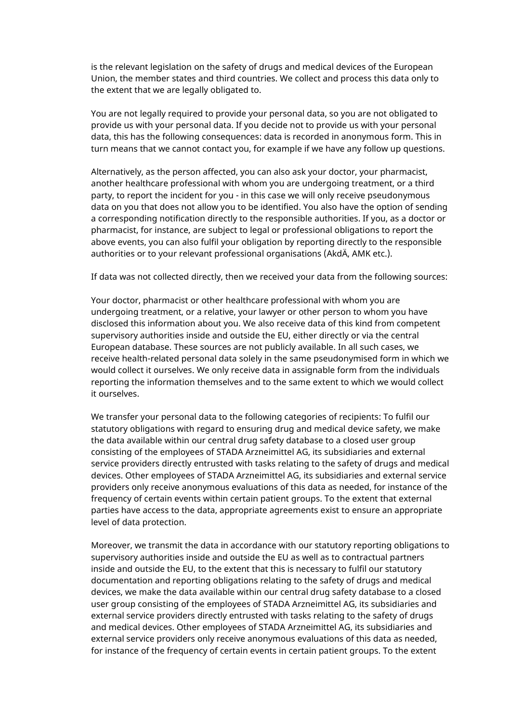is the relevant legislation on the safety of drugs and medical devices of the European Union, the member states and third countries. We collect and process this data only to the extent that we are legally obligated to.

You are not legally required to provide your personal data, so you are not obligated to provide us with your personal data. If you decide not to provide us with your personal data, this has the following consequences: data is recorded in anonymous form. This in turn means that we cannot contact you, for example if we have any follow up questions.

Alternatively, as the person affected, you can also ask your doctor, your pharmacist, another healthcare professional with whom you are undergoing treatment, or a third party, to report the incident for you - in this case we will only receive pseudonymous data on you that does not allow you to be identified. You also have the option of sending a corresponding notification directly to the responsible authorities. If you, as a doctor or pharmacist, for instance, are subject to legal or professional obligations to report the above events, you can also fulfil your obligation by reporting directly to the responsible authorities or to your relevant professional organisations (AkdÄ, AMK etc.).

If data was not collected directly, then we received your data from the following sources:

Your doctor, pharmacist or other healthcare professional with whom you are undergoing treatment, or a relative, your lawyer or other person to whom you have disclosed this information about you. We also receive data of this kind from competent supervisory authorities inside and outside the EU, either directly or via the central European database. These sources are not publicly available. In all such cases, we receive health-related personal data solely in the same pseudonymised form in which we would collect it ourselves. We only receive data in assignable form from the individuals reporting the information themselves and to the same extent to which we would collect it ourselves.

We transfer your personal data to the following categories of recipients: To fulfil our statutory obligations with regard to ensuring drug and medical device safety, we make the data available within our central drug safety database to a closed user group consisting of the employees of STADA Arzneimittel AG, its subsidiaries and external service providers directly entrusted with tasks relating to the safety of drugs and medical devices. Other employees of STADA Arzneimittel AG, its subsidiaries and external service providers only receive anonymous evaluations of this data as needed, for instance of the frequency of certain events within certain patient groups. To the extent that external parties have access to the data, appropriate agreements exist to ensure an appropriate level of data protection.

Moreover, we transmit the data in accordance with our statutory reporting obligations to supervisory authorities inside and outside the EU as well as to contractual partners inside and outside the EU, to the extent that this is necessary to fulfil our statutory documentation and reporting obligations relating to the safety of drugs and medical devices, we make the data available within our central drug safety database to a closed user group consisting of the employees of STADA Arzneimittel AG, its subsidiaries and external service providers directly entrusted with tasks relating to the safety of drugs and medical devices. Other employees of STADA Arzneimittel AG, its subsidiaries and external service providers only receive anonymous evaluations of this data as needed, for instance of the frequency of certain events in certain patient groups. To the extent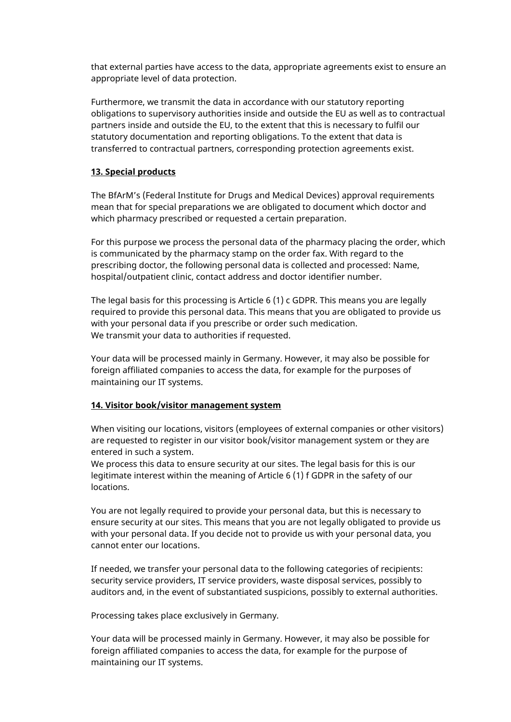that external parties have access to the data, appropriate agreements exist to ensure an appropriate level of data protection.

Furthermore, we transmit the data in accordance with our statutory reporting obligations to supervisory authorities inside and outside the EU as well as to contractual partners inside and outside the EU, to the extent that this is necessary to fulfil our statutory documentation and reporting obligations. To the extent that data is transferred to contractual partners, corresponding protection agreements exist.

### <span id="page-8-0"></span>**13. Special products**

The BfArM's (Federal Institute for Drugs and Medical Devices) approval requirements mean that for special preparations we are obligated to document which doctor and which pharmacy prescribed or requested a certain preparation.

For this purpose we process the personal data of the pharmacy placing the order, which is communicated by the pharmacy stamp on the order fax. With regard to the prescribing doctor, the following personal data is collected and processed: Name, hospital/outpatient clinic, contact address and doctor identifier number.

The legal basis for this processing is Article 6 (1) c GDPR. This means you are legally required to provide this personal data. This means that you are obligated to provide us with your personal data if you prescribe or order such medication. We transmit your data to authorities if requested.

Your data will be processed mainly in Germany. However, it may also be possible for foreign affiliated companies to access the data, for example for the purposes of maintaining our IT systems.

### <span id="page-8-1"></span>**14. Visitor book/visitor management system**

When visiting our locations, visitors (employees of external companies or other visitors) are requested to register in our visitor book/visitor management system or they are entered in such a system.

We process this data to ensure security at our sites. The legal basis for this is our legitimate interest within the meaning of Article 6 (1) f GDPR in the safety of our locations.

You are not legally required to provide your personal data, but this is necessary to ensure security at our sites. This means that you are not legally obligated to provide us with your personal data. If you decide not to provide us with your personal data, you cannot enter our locations.

If needed, we transfer your personal data to the following categories of recipients: security service providers, IT service providers, waste disposal services, possibly to auditors and, in the event of substantiated suspicions, possibly to external authorities.

Processing takes place exclusively in Germany.

Your data will be processed mainly in Germany. However, it may also be possible for foreign affiliated companies to access the data, for example for the purpose of maintaining our IT systems.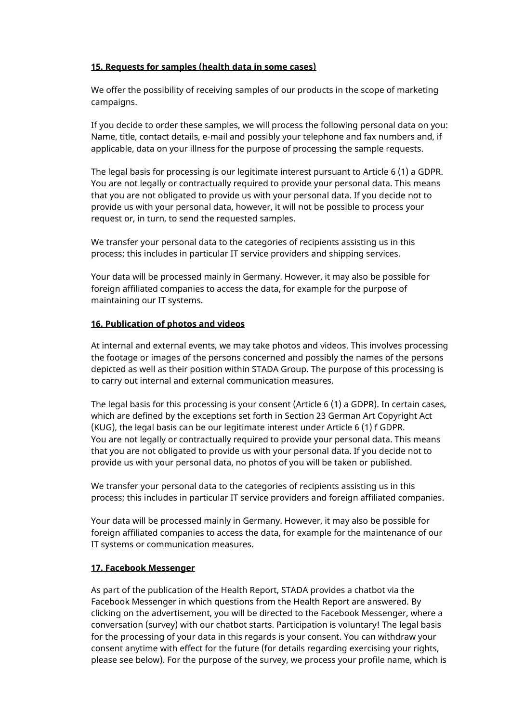### <span id="page-9-0"></span>**15. Requests for samples (health data in some cases)**

We offer the possibility of receiving samples of our products in the scope of marketing campaigns.

If you decide to order these samples, we will process the following personal data on you: Name, title, contact details, e-mail and possibly your telephone and fax numbers and, if applicable, data on your illness for the purpose of processing the sample requests.

The legal basis for processing is our legitimate interest pursuant to Article 6 (1) a GDPR. You are not legally or contractually required to provide your personal data. This means that you are not obligated to provide us with your personal data. If you decide not to provide us with your personal data, however, it will not be possible to process your request or, in turn, to send the requested samples.

We transfer your personal data to the categories of recipients assisting us in this process; this includes in particular IT service providers and shipping services.

Your data will be processed mainly in Germany. However, it may also be possible for foreign affiliated companies to access the data, for example for the purpose of maintaining our IT systems.

### <span id="page-9-1"></span>**16. Publication of photos and videos**

At internal and external events, we may take photos and videos. This involves processing the footage or images of the persons concerned and possibly the names of the persons depicted as well as their position within STADA Group. The purpose of this processing is to carry out internal and external communication measures.

The legal basis for this processing is your consent (Article 6 (1) a GDPR). In certain cases, which are defined by the exceptions set forth in Section 23 German Art Copyright Act (KUG), the legal basis can be our legitimate interest under Article 6 (1) f GDPR. You are not legally or contractually required to provide your personal data. This means that you are not obligated to provide us with your personal data. If you decide not to provide us with your personal data, no photos of you will be taken or published.

We transfer your personal data to the categories of recipients assisting us in this process; this includes in particular IT service providers and foreign affiliated companies.

Your data will be processed mainly in Germany. However, it may also be possible for foreign affiliated companies to access the data, for example for the maintenance of our IT systems or communication measures.

### <span id="page-9-2"></span>**17. Facebook Messenger**

As part of the publication of the Health Report, STADA provides a chatbot via the Facebook Messenger in which questions from the Health Report are answered. By clicking on the advertisement, you will be directed to the Facebook Messenger, where a conversation (survey) with our chatbot starts. Participation is voluntary! The legal basis for the processing of your data in this regards is your consent. You can withdraw your consent anytime with effect for the future (for details regarding exercising your rights, please see below). For the purpose of the survey, we process your profile name, which is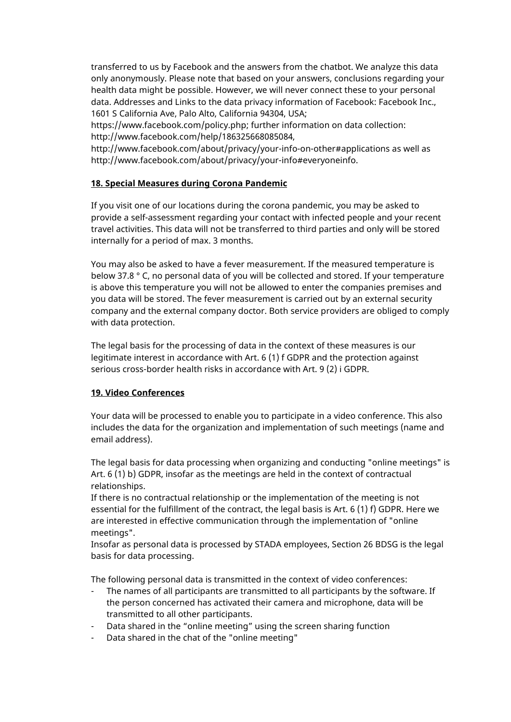transferred to us by Facebook and the answers from the chatbot. We analyze this data only anonymously. Please note that based on your answers, conclusions regarding your health data might be possible. However, we will never connect these to your personal data. Addresses and Links to the data privacy information of Facebook: Facebook Inc., 1601 S California Ave, Palo Alto, California 94304, USA;

https://www.facebook.com/policy.php; further information on data collection: http://www.facebook.com/help/186325668085084,

http://www.facebook.com/about/privacy/your-info-on-other#applications as well as http://www.facebook.com/about/privacy/your-info#everyoneinfo.

### <span id="page-10-0"></span>**18. Special Measures during Corona Pandemic**

If you visit one of our locations during the corona pandemic, you may be asked to provide a self-assessment regarding your contact with infected people and your recent travel activities. This data will not be transferred to third parties and only will be stored internally for a period of max. 3 months.

You may also be asked to have a fever measurement. If the measured temperature is below 37.8 ° C, no personal data of you will be collected and stored. If your temperature is above this temperature you will not be allowed to enter the companies premises and you data will be stored. The fever measurement is carried out by an external security company and the external company doctor. Both service providers are obliged to comply with data protection.

The legal basis for the processing of data in the context of these measures is our legitimate interest in accordance with Art. 6 (1) f GDPR and the protection against serious cross-border health risks in accordance with Art. 9 (2) i GDPR.

### <span id="page-10-1"></span>**19. Video Conferences**

Your data will be processed to enable you to participate in a video conference. This also includes the data for the organization and implementation of such meetings (name and email address).

The legal basis for data processing when organizing and conducting "online meetings" is Art. 6 (1) b) GDPR, insofar as the meetings are held in the context of contractual relationships.

If there is no contractual relationship or the implementation of the meeting is not essential for the fulfillment of the contract, the legal basis is Art. 6 (1) f) GDPR. Here we are interested in effective communication through the implementation of "online meetings".

Insofar as personal data is processed by STADA employees, Section 26 BDSG is the legal basis for data processing.

The following personal data is transmitted in the context of video conferences:

- The names of all participants are transmitted to all participants by the software. If the person concerned has activated their camera and microphone, data will be transmitted to all other participants.
- Data shared in the "online meeting" using the screen sharing function
- Data shared in the chat of the "online meeting"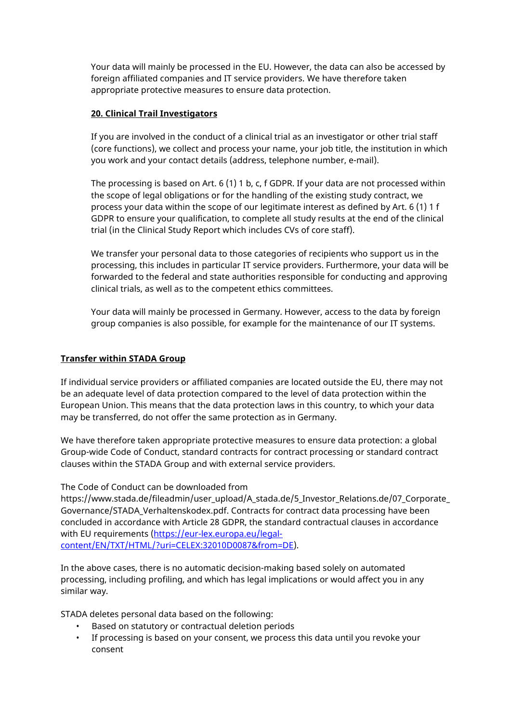Your data will mainly be processed in the EU. However, the data can also be accessed by foreign affiliated companies and IT service providers. We have therefore taken appropriate protective measures to ensure data protection.

### <span id="page-11-0"></span>**20. Clinical Trail Investigators**

If you are involved in the conduct of a clinical trial as an investigator or other trial staff (core functions), we collect and process your name, your job title, the institution in which you work and your contact details (address, telephone number, e-mail).

The processing is based on Art. 6 (1) 1 b, c, f GDPR. If your data are not processed within the scope of legal obligations or for the handling of the existing study contract, we process your data within the scope of our legitimate interest as defined by Art. 6 (1) 1 f GDPR to ensure your qualification, to complete all study results at the end of the clinical trial (in the Clinical Study Report which includes CVs of core staff).

We transfer your personal data to those categories of recipients who support us in the processing, this includes in particular IT service providers. Furthermore, your data will be forwarded to the federal and state authorities responsible for conducting and approving clinical trials, as well as to the competent ethics committees.

Your data will mainly be processed in Germany. However, access to the data by foreign group companies is also possible, for example for the maintenance of our IT systems.

### <span id="page-11-1"></span>**Transfer within STADA Group**

If individual service providers or affiliated companies are located outside the EU, there may not be an adequate level of data protection compared to the level of data protection within the European Union. This means that the data protection laws in this country, to which your data may be transferred, do not offer the same protection as in Germany.

We have therefore taken appropriate protective measures to ensure data protection: a global Group-wide Code of Conduct, standard contracts for contract processing or standard contract clauses within the STADA Group and with external service providers.

### The Code of Conduct can be downloaded from

https://www.stada.de/fileadmin/user\_upload/A\_stada.de/5\_Investor\_Relations.de/07\_Corporate\_ Governance/STADA\_Verhaltenskodex.pdf. Contracts for contract data processing have been concluded in accordance with Article 28 GDPR, the standard contractual clauses in accordance with EU requirements [\(https://eur-lex.europa.eu/legal](https://eur-lex.europa.eu/legal-content/EN/TXT/HTML/?uri=CELEX:32010D0087&from=DE)[content/EN/TXT/HTML/?uri=CELEX:32010D0087&from=DE\)](https://eur-lex.europa.eu/legal-content/EN/TXT/HTML/?uri=CELEX:32010D0087&from=DE).

In the above cases, there is no automatic decision-making based solely on automated processing, including profiling, and which has legal implications or would affect you in any similar way.

STADA deletes personal data based on the following:

- Based on statutory or contractual deletion periods
- If processing is based on your consent, we process this data until you revoke your consent